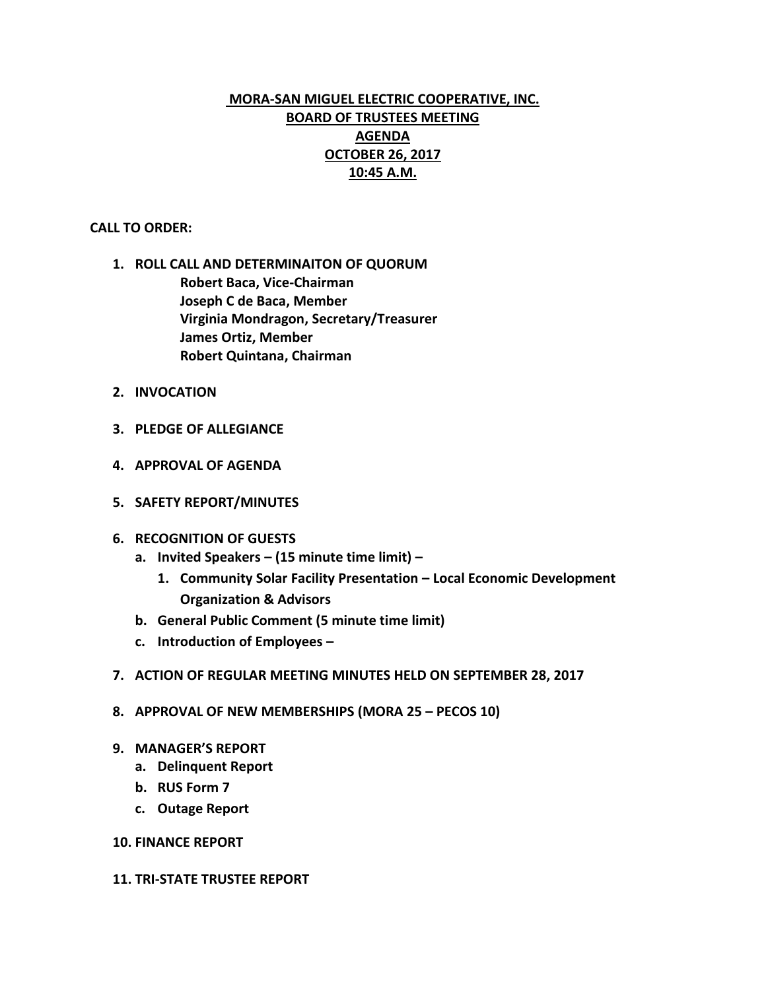# **MORA-SAN MIGUEL ELECTRIC COOPERATIVE, INC. BOARD OF TRUSTEES MEETING AGENDA OCTOBER 26, 2017 10:45 A.M.**

## **CALL TO ORDER:**

- **1. ROLL CALL AND DETERMINAITON OF QUORUM Robert Baca, Vice-Chairman Joseph C de Baca, Member Virginia Mondragon, Secretary/Treasurer James Ortiz, Member Robert Quintana, Chairman**
- **2. INVOCATION**
- **3. PLEDGE OF ALLEGIANCE**
- **4. APPROVAL OF AGENDA**
- **5. SAFETY REPORT/MINUTES**
- **6. RECOGNITION OF GUESTS**
	- **a. Invited Speakers – (15 minute time limit) –**
		- **1. Community Solar Facility Presentation – Local Economic Development Organization & Advisors**
	- **b. General Public Comment (5 minute time limit)**
	- **c. Introduction of Employees –**
- **7. ACTION OF REGULAR MEETING MINUTES HELD ON SEPTEMBER 28, 2017**
- **8. APPROVAL OF NEW MEMBERSHIPS (MORA 25 – PECOS 10)**
- **9. MANAGER'S REPORT**
	- **a. Delinquent Report**
	- **b. RUS Form 7**
	- **c. Outage Report**
- **10. FINANCE REPORT**
- **11. TRI-STATE TRUSTEE REPORT**